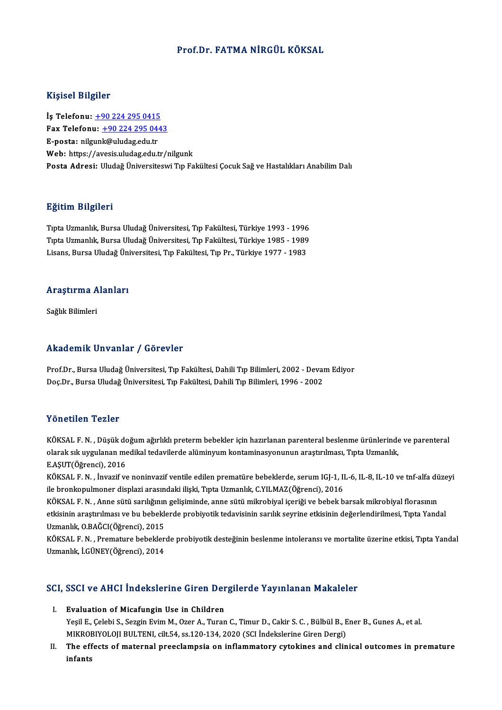### Prof.Dr. FATMA NİRGÜL KÖKSAL

#### Kişisel Bilgiler

Kişisel Bilgiler<br>İş Telefonu: <u>+90 224 295 0415</u><br>Fax Telefonu: +90 224 295 044 Fax Telefonu:  $\frac{+90\,224\,295\,0443}{E\text{-}posta: \nnilgunk@uludag.edu.tr}$ İş Telefonu: <u>+90 224 295 0415</u><br>Fax Telefonu: <u>+90 224 295 04:</u><br>E-posta: nilg[un](tel:+90 224 295 0415)[k@uludag.edu.tr](tel:+90 224 295 0443)<br>Web: https://avesis.uludag.edu.tr Web: https://avesis.uludag.edu.tr/nilgunk Posta Adresi: Uludağ Üniversiteswi Tıp Fakültesi Çocuk Sağ ve Hastalıkları Anabilim Dalı

#### Eğitim Bilgileri

E<mark>ğitim Bilgileri</mark><br>Tıpta Uzmanlık, Bursa Uludağ Üniversitesi, Tıp Fakültesi, Türkiye 1993 - 1996<br>Tınta Uzmanlık, Bursa Uludağ Üniversitesi, Tıp Fakültesi, Türkiye 1995 - 1999 ngrenn Dirgirori<br>Tıpta Uzmanlık, Bursa Uludağ Üniversitesi, Tıp Fakültesi, Türkiye 1993 - 1996<br>Tipta Uzmanlık, Bursa Uludağ Üniversitesi, Tıp Fakültesi, Türkiye 1985 - 1989<br>Lisans, Bursa Uludağ Üniversitesi, Tıp Fakültesi, Tıpta Uzmanlık, Bursa Uludağ Üniversitesi, Tıp Fakültesi, Türkiye 1993 - 1996<br>Tıpta Uzmanlık, Bursa Uludağ Üniversitesi, Tıp Fakültesi, Türkiye 1985 - 1989<br>Lisans, Bursa Uludağ Üniversitesi, Tıp Fakültesi, Tıp Pr., Türkiye

# Lisans, bursa viudag oni<br>Araştırma Alanları <mark>Araştırma A</mark><br>Sağlık Bilimleri

# Akademik Unvanlar / Görevler

Prof.Dr., Bursa Uludağ Üniversitesi, Tıp Fakültesi, Dahili Tıp Bilimleri, 2002 - Devam Ediyor Doç.Dr., Bursa Uludağ Üniversitesi, Tıp Fakültesi, Dahili Tıp Bilimleri, 1996 - 2002

#### Yönetilen Tezler

Yönetilen Tezler<br>KÖKSAL F.N. , Düşük doğum ağırlıklı preterm bebekler için hazırlanan parenteral beslenme ürünlerinde ve parenteral<br>alarak alt uygulanan mediltal tedavilerde alüminyum kantaminesyonunun arastırılması. Tınta olaraksıksık solarak<br>KÖKSAL F. N. , Düşük doğum ağırlıklı preterm bebekler için hazırlanan parenteral beslenme ürünlerinde<br>olarak sık uygulanan medikal tedavilerde alüminyum kontaminasyonunun araştırılması, Tıpta Uzmanlık, KÖKSAL F. N. , Düşük do<br>olarak sık uygulanan me<br>E.AŞUT(Öğrenci), 2016<br>VÖKSAL E. N. , İnvazif v olarak sık uygulanan medikal tedavilerde alüminyum kontaminasyonunun araştırılması, Tıpta Uzmanlık,<br>E.AŞUT(Öğrenci), 2016<br>KÖKSAL F. N. , İnvazif ve noninvazif ventile edilen prematüre bebeklerde, serum IGJ-1, IL-6, IL-8, I

E.AŞUT(Öğrenci), 2016<br>KÖKSAL F. N. , İnvazif ve noninvazif ventile edilen prematüre bebeklerde, serum IGJ-1, II<br>ile bronkopulmoner displazi arasındaki ilişki, Tıpta Uzmanlık, C.YILMAZ(Öğrenci), 2016<br>KÖKSAL E.N. . Anne sütü KÖKSAL F. N. , İnvazif ve noninvazif ventile edilen prematüre bebeklerde, serum IGJ-1, IL-6, IL-8, IL-10 ve tnf-alfa dü<br>ile bronkopulmoner displazi arasındaki ilişki, Tıpta Uzmanlık, C.YILMAZ(Öğrenci), 2016<br>KÖKSAL F. N. ,

ile bronkopulmoner displazi arasındaki ilişki, Tıpta Uzmanlık, C.YILMAZ(Öğrenci), 2016<br>KÖKSAL F. N. , Anne sütü sarılığının gelişiminde, anne sütü mikrobiyal içeriği ve bebek barsak mikrobiyal florasının<br>etkisinin araştırı KÖKSAL F. N. , Anne sütü sarılığının<br>etkisinin araştırılması ve bu bebekle<br>Uzmanlık, O.BAĞCI(Öğrenci), 2015<br>KÖKSAL E.N. - Bromature bebekler etkisinin araştırılması ve bu bebeklerde probiyotik tedavisinin sarılık seyrine etkisinin değerlendirilmesi, Tıpta Yandal<br>Uzmanlık, O.BAĞCI(Öğrenci), 2015<br>KÖKSAL F. N. , Premature bebeklerde probiyotik desteğinin beslenme

Uzmanlık, O.BAĞCI(Öğrenci), 2015<br>KÖKSAL F. N. , Premature bebekler<br>Uzmanlık, İ.GÜNEY(Öğrenci), 2014

# uzmanlık, I.GUNET(Ogrenci), 2014<br>SCI, SSCI ve AHCI İndekslerine Giren Dergilerde Yayınlanan Makaleler

- CI, SSCI ve AHCI İndekslerine Giren Der<br>I. Evaluation of Micafungin Use in Children<br>Nosil E. Celebi S. Sezgin Evim M. Ozer A. Turen Yeşil Ve Tirler interneten diren Bergherde Tay Intanan Mandreter<br>Evaluation of Micafungin Use in Children<br>Yeşil E., Çelebi S., Sezgin Evim M., Ozer A., Turan C., Timur D., Cakir S. C. , Bülbül B., Ener B., Gunes A., et al. Evaluation of Micafungin Use in Children<br>Yeşil E., Çelebi S., Sezgin Evim M., Ozer A., Turan C., Timur D., Cakir S. C. , Bülbül B., E<br>MIKROBIYOLOJI BULTENI, cilt.54, ss.120-134, 2020 (SCI İndekslerine Giren Dergi)<br>The effe MIKROBIYOLOJI BULTENI, cilt.54, ss.120-134, 2020 (SCI İndekslerine Giren Dergi)
- II. The effects of maternal preeclampsia on inflammatory cytokines and clinical outcomes in premature<br>infants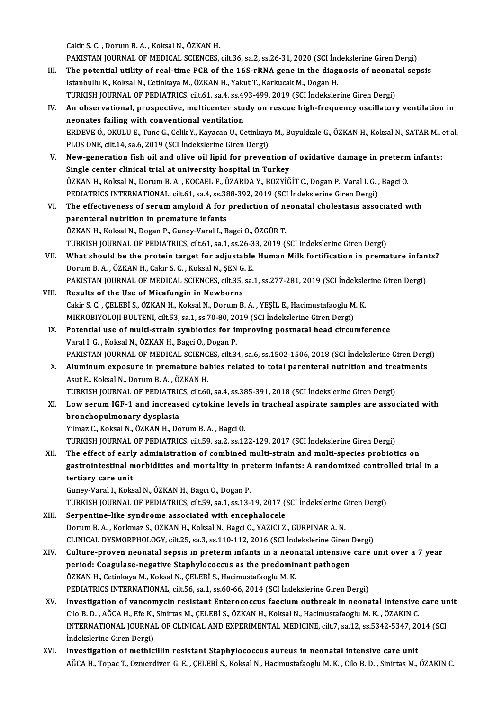Cakir S.C. ,DorumB.A. ,KoksalN.,ÖZKANH.

Cakir S. C. , Dorum B. A. , Koksal N., ÖZKAN H.<br>PAKISTAN JOURNAL OF MEDICAL SCIENCES, cilt.36, sa.2, ss.26-31, 2020 (SCI İndekslerine Giren Dergi)<br>The potential utility of real time BCP of the 165 rPNA gene in the diagnesi

- Cakir S. C. , Dorum B. A. , Koksal N., ÖZKAN H.<br>PAKISTAN JOURNAL OF MEDICAL SCIENCES, cilt.36, sa.2, ss.26-31, 2020 (SCI İndekslerine Giren Dergi)<br>III. The potential utility of real-time PCR of the 16S-rRNA gene in the dia PAKISTAN JOURNAL OF MEDICAL SCIENCES, cilt.36, sa.2, ss.26-31, 2020 (SCI Inc<br>The potential utility of real-time PCR of the 16S-rRNA gene in the diagree<br>Istanbullu K., Koksal N., Cetinkaya M., ÖZKAN H., Yakut T., Karkucak M The potential utility of real-time PCR of the 16S-rRNA gene in the diagnosis of neonat<br>Istanbullu K., Koksal N., Cetinkaya M., ÖZKAN H., Yakut T., Karkucak M., Dogan H.<br>TURKISH JOURNAL OF PEDIATRICS, cilt.61, sa.4, ss.493-TURKISH JOURNAL OF PEDIATRICS, cilt.61, sa.4, ss.493-499, 2019 (SCI Indekslerine Giren Dergi)
- Istanbullu K., Koksal N., Cetinkaya M., ÖZKAN H., Yakut T., Karkucak M., Dogan H.<br>TURKISH JOURNAL OF PEDIATRICS, cilt.61, sa.4, ss.493-499, 2019 (SCI Indekslerine Giren Dergi)<br>IV. An observational, prospective, multicenter An observational, prospective, multicenter study on rescue high-frequency oscillatory ventilation in<br>neonates failing with conventional ventilation<br>ERDEVE Ö., OKULU E., Tunc G., Celik Y., Kayacan U., Cetinkaya M., Buyukkal neonates failing with conventional ventilation<br>ERDEVE Ö., OKULU E., Tunc G., Celik Y., Kayacan U., Cetinkaya<br>PLOS ONE, cilt.14, sa.6, 2019 (SCI İndekslerine Giren Dergi)<br>New generation fish ejl and eliye eil linid for prev ERDEVE Ö., OKULU E., Tunc G., Celik Y., Kayacan U., Cetinkaya M., Buyukkale G., ÖZKAN H., Koksal N., SATAR M., 6<br>PLOS ONE, cilt.14, sa.6, 2019 (SCI İndekslerine Giren Dergi)<br>V. New-generation fish oil and olive oil lipid f
- PLOS ONE, cilt.14, sa.6, 2019 (SCI İndekslerine Giren Dergi)<br>New-generation fish oil and olive oil lipid for prevention of<br>Single center clinical trial at university hospital in Turkey<br>ÖZKAN H. Koksal N. Derum B.A., KOCAEL New-generation fish oil and olive oil lipid for prevention of oxidative damage in preterm<br>Single center clinical trial at university hospital in Turkey<br>ÖZKAN H., Koksal N., Dorum B. A. , KOCAEL F., ÖZARDA Y., BOZYİĞİT C., Single center clinical trial at university hospital in Turkey<br>ÖZKAN H., Koksal N., Dorum B. A. , KOCAEL F., ÖZARDA Y., BOZYİĞİT C., Dogan P., Varal I. G. , Bagci O.<br>PEDIATRICS INTERNATIONAL, cilt.61, sa.4, ss.388-392, 2019 ÖZKAN H., Koksal N., Dorum B. A., KOCAEL F., ÖZARDA Y., BOZYİĞİT C., Dogan P., Varal I. G., Bagci O.<br>PEDIATRICS INTERNATIONAL, cilt.61, sa.4, ss.388-392, 2019 (SCI İndekslerine Giren Dergi)<br>VI. The effectiveness of serum a
- PEDIATRICS INTERNATIONAL, cilt.61, sa.4, ss.38<br>The effectiveness of serum amyloid A for<br>parenteral nutrition in premature infants<br>ÖZKAN H. Koksal N. Dogan B. Cuney Varal L. B The effectiveness of serum amyloid A for prediction of no<br>parenteral nutrition in premature infants<br>ÖZKAN H., Koksal N., Dogan P., Guney-Varal I., Bagci O., ÖZGÜR T.<br>TURKISH JOURNAL OF REDIATRICS sit 61 se 1 se 26 22 2010 parenteral nutrition in premature infants<br>ÖZKAN H., Koksal N., Dogan P., Guney-Varal I., Bagci O., ÖZGÜR T.<br>TURKISH JOURNAL OF PEDIATRICS, cilt.61, sa.1, ss.26-33, 2019 (SCI İndekslerine Giren Dergi)<br>What shauld be the pre
- ÖZKAN H., Koksal N., Dogan P., Guney-Varal I., Bagci O., ÖZGÜR T.<br>TURKISH JOURNAL OF PEDIATRICS, cilt.61, sa.1, ss.26-33, 2019 (SCI İndekslerine Giren Dergi)<br>VII. What should be the protein target for adjustable Human TURKISH JOURNAL OF PEDIATRICS, cilt.61, sa.1, ss.26-3<br>What should be the protein target for adjustable<br>Dorum B. A. , ÖZKAN H., Cakir S. C. , Koksal N., ŞEN G. E.<br>RAKISTAN JOURNAL OF MEDICAL SCIENCES, silt 35, sa. What should be the protein target for adjustable Human Milk fortification in premature infan<br>Dorum B.A., ÖZKAN H., Cakir S. C., Koksal N., ŞEN G. E.<br>PAKISTAN JOURNAL OF MEDICAL SCIENCES, cilt.35, sa.1, ss.277-281, 2019 (SC
- VIII. Results of the Use of Micafungin in Newborns<br>Cakir S. C., CELEBI S., ÖZKAN H., Koksal N., Dorum B. A., YEŞİL E., Hacimustafaoglu M. K. PAKISTAN JOURNAL OF MEDICAL SCIENCES, cilt.35, sa.1, ss.277-281, 2019 (SCI İndeksle<br>Results of the Use of Micafungin in Newborns<br>Cakir S. C. , ÇELEBİ S., ÖZKAN H., Koksal N., Dorum B. A. , YEŞİL E., Hacimustafaoglu M. K.<br>M Results of the Use of Micafungin in Newborns<br>Cakir S. C. , ÇELEBİ S., ÖZKAN H., Koksal N., Dorum B. A. , YEŞİL E., Hacimustafaoglu M<br>MIKROBIYOLOJI BULTENI, cilt.53, sa.1, ss.70-80, 2019 (SCI İndekslerine Giren Dergi)<br>Peten
- IX. Potential use of multi-strain synbiotics for improving postnatal head circumference<br>Varal I. G., Koksal N., ÖZKAN H., Bagci O., Dogan P. MIKROBIYOLOJI BULTENI, cilt.53, sa.1, ss.70-80, 20<br>Potential use of multi-strain synbiotics for in<br>Varal I. G. , Koksal N., ÖZKAN H., Bagci O., Dogan P.<br>PAKISTAN JOUPNAL OF MEDICAL SCIENCES, silt 3. PAKISTAN JOURNAL OF MEDICAL SCIENCES, cilt.34, sa.6, ss.1502-1506, 2018 (SCI İndekslerine Giren Dergi) Varal I. G., Koksal N., ÖZKAN H., Bagci O., Dogan P.<br>PAKISTAN JOURNAL OF MEDICAL SCIENCES, cilt.34, sa.6, ss.1502-1506, 2018 (SCI İndekslerine Giren Derg<br>X. Aluminum exposure in premature babies related to total parenteral
- PAKISTAN JOURNAL OF MEDICAL SCIENC<br>Aluminum exposure in premature ba<br>Asut E., Koksal N., Dorum B. A. , ÖZKAN H.<br>TURKISH JOURNAL OF PEDIATRICS sik 60 Aluminum exposure in premature babies related to total parenteral nutrition and tre<br>Asut E., Koksal N., Dorum B. A. , ÖZKAN H.<br>TURKISH JOURNAL OF PEDIATRICS, cilt.60, sa.4, ss.385-391, 2018 (SCI İndekslerine Giren Dergi)<br>L Asut E., Koksal N., Dorum B. A. , ÖZKAN H.<br>TURKISH JOURNAL OF PEDIATRICS, cilt.60, sa.4, ss.385-391, 2018 (SCI İndekslerine Giren Dergi)<br>XI. Low serum IGF-1 and increased cytokine levels in tracheal aspirate samples ar
- TURKISH JOURNAL OF PEDIATRICS, cilt.60, sa.4, ss.385-391, 2018 (SCI Indekslerine Giren Dergi)<br>Low serum IGF-1 and increased cytokine levels in tracheal aspirate samples are asso<br>bronchopulmonary dysplasia<br>Yilmaz C., Koksal Low serum IGF-1 and increased cytokine level:<br>bronchopulmonary dysplasia<br>Yilmaz C., Koksal N., ÖZKAN H., Dorum B. A. , Bagci O.<br>TURKISH JOURNAL OF PEDIATRICS silt 50, se 2, se 15 bronchopulmonary dysplasia<br>Yilmaz C., Koksal N., ÖZKAN H., Dorum B. A. , Bagci O.<br>TURKISH JOURNAL OF PEDIATRICS, cilt.59, sa.2, ss.122-129, 2017 (SCI İndekslerine Giren Dergi)<br>The effect of early administration of combined

Yilmaz C., Koksal N., ÖZKAN H., Dorum B. A. , Bagci O.<br>TURKISH JOURNAL OF PEDIATRICS, cilt.59, sa.2, ss.122-129, 2017 (SCI İndekslerine Giren Dergi)<br>XII. The effect of early administration of combined multi-strain and mult TURKISH JOURNAL OF PEDIATRICS, cilt.59, sa.2, ss.122-129, 2017 (SCI İndekslerine Giren Dergi)<br>The effect of early administration of combined multi-strain and multi-species probiotics on<br>gastrointestinal morbidities and mor The effect of early<br>gastrointestinal m<br>tertiary care unit gastrointestinal morbidities and mortality in pre<br>tertiary care unit<br>Guney-Varal I., Koksal N., ÖZKAN H., Bagci O., Dogan P.<br>TURKISH JOURNAL OF REDIATRICS sit 59 ss 1 ss 12 : tertiary care unit<br>Guney-Varal I., Koksal N., ÖZKAN H., Bagci O., Dogan P.<br>TURKISH JOURNAL OF PEDIATRICS, cilt.59, sa.1, ss.13-19, 2017 (SCI İndekslerine Giren Dergi)<br>Serpentine like sundreme assesiated utib ensephalesele.

- Guney-Varal I., Koksal N., ÖZKAN H., Bagci O., Dogan P.<br>TURKISH JOURNAL OF PEDIATRICS, cilt.59, sa.1, ss.13-19, 2017 (:<br>XIII. Serpentine-like syndrome associated with encephalocele<br>Dorum B. A., Korkmaz S. ÖZKAN H. Koksal N TURKISH JOURNAL OF PEDIATRICS, cilt.59, sa.1, ss.13-19, 2017 (SCI İndekslerine C<br>Serpentine-like syndrome associated with encephalocele<br>Dorum B. A. , Korkmaz S., ÖZKAN H., Koksal N., Bagci O., YAZICI Z., GÜRPINAR A. N.<br>CLI Serpentine-like syndrome associated with encephalocele<br>Dorum B. A. , Korkmaz S., ÖZKAN H., Koksal N., Bagci O., YAZICI Z., GÜRPINAR A. N.<br>CLINICAL DYSMORPHOLOGY, cilt.25, sa.3, ss.110-112, 2016 (SCI İndekslerine Giren Derg Dorum B. A. , Korkmaz S., ÖZKAN H., Koksal N., Bagci O., YAZICI Z., GÜRPINAR A. N.<br>CLINICAL DYSMORPHOLOGY, cilt.25, sa.3, ss.110-112, 2016 (SCI İndekslerine Giren Dergi)<br>XIV. Culture-proven neonatal sepsis in preterm infan
- CLINICAL DYSMORPHOLOGY, cilt.25, sa.3, ss.110-112, 2016 (SCI İndekslerine Giren<br>Culture-proven neonatal sepsis in preterm infants in a neonatal intensive<br>period: Coagulase-negative Staphylococcus as the predominant pathoge Culture-proven neonatal sepsis in preterm infants in a neor<br>period: Coagulase-negative Staphylococcus as the predomin<br>ÖZKAN H., Cetinkaya M., Koksal N., ÇELEBİ S., Hacimustafaoglu M. K.<br>PEDIATRICS INTERNATIONAL silt 56,99, period: Coagulase-negative Staphylococcus as the predominant pathogen<br>ÖZKAN H., Cetinkaya M., Koksal N., ÇELEBİ S., Hacimustafaoglu M. K.<br>PEDIATRICS INTERNATIONAL, cilt.56, sa.1, ss.60-66, 2014 (SCI İndekslerine Giren Derg
- XV. Investigation of vancomycin resistant Enterococcus faeciumoutbreak in neonatal intensive care unit PEDIATRICS INTERNATIONAL, cilt.56, sa.1, ss.60-66, 2014 (SCI İndekslerine Giren Dergi)<br>Investigation of vancomycin resistant Enterococcus faecium outbreak in neonatal intensive<br>Cilo B. D. , AĞCA H., Efe K., Sinirtas M., ÇE Investigation of vancomycin resistant Enterococcus faecium outbreak in neonatal intensive care un<br>Cilo B. D. , AĞCA H., Efe K., Sinirtas M., ÇELEBİ S., ÖZKAN H., Koksal N., Hacimustafaoglu M. K. , ÖZAKIN C.<br>INTERNATIONAL J Cilo B. D. , AĞCA H., Efe K.,<br>INTERNATIONAL JOURNA<br>İndekslerine Giren Dergi)<br>Investisation of mothic INTERNATIONAL JOURNAL OF CLINICAL AND EXPERIMENTAL MEDICINE, cilt.7, sa.12, ss.5342-5347, 20<br>
indekslerine Giren Dergi)<br>
XVI. Investigation of methicillin resistant Staphylococcus aureus in neonatal intensive care unit<br>
- İndekslerine Giren Dergi)<br>XVI. Investigation of methicillin resistant Staphylococcus aureus in neonatal intensive care unit<br>AĞCA H., Topac T., Ozmerdiven G. E. , ÇELEBİ S., Koksal N., Hacimustafaoglu M. K. , Cilo B. D.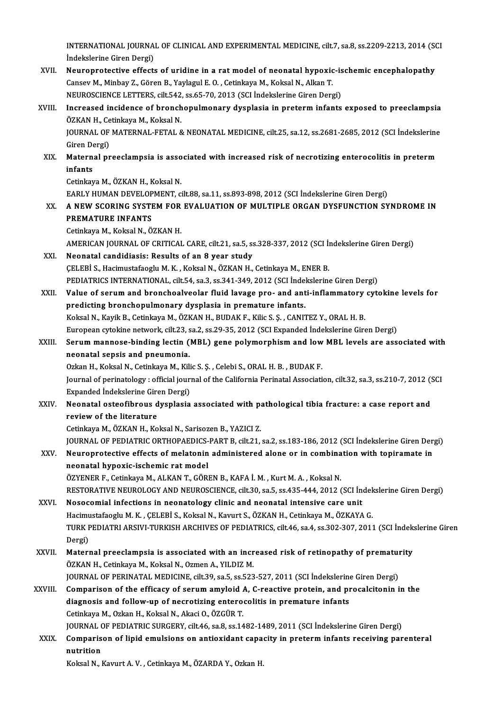INTERNATIONAL JOURNAL OF CLINICAL AND EXPERIMENTAL MEDICINE, cilt.7, sa.8, ss.2209-2213, 2014 (SCI<br>Indekslerine Circo Dergi) INTERNATIONAL JOURNA<br>İndekslerine Giren Dergi)<br>Neuronnatestive effecti INTERNATIONAL JOURNAL OF CLINICAL AND EXPERIMENTAL MEDICINE, cilt.7, sa.8, ss.2209-2213, 2014 (SCHER)<br>Indekslerine Giren Dergi)<br>XVII. Neuroprotective effects of uridine in a rat model of neonatal hypoxic-ischemic encephalo

- İndekslerine Giren Dergi)<br>Neuroprotective effects of uridine in a rat model of neonatal hypoxic<br>Cansev M., Minbay Z., Gören B., Yaylagul E. O. , Cetinkaya M., Koksal N., Alkan T.<br>NEUPOSCIENCE LETTEDS, silt 542, sa 65, 70, Neuroprotective effects of uridine in a rat model of neonatal hypoxic-is<br>Cansev M., Minbay Z., Gören B., Yaylagul E. O. , Cetinkaya M., Koksal N., Alkan T.<br>NEUROSCIENCE LETTERS, cilt.542, ss.65-70, 2013 (SCI İndekslerine G Cansev M., Minbay Z., Gören B., Yaylagul E. O. , Cetinkaya M., Koksal N., Alkan T.<br>NEUROSCIENCE LETTERS, cilt.542, ss.65-70, 2013 (SCI İndekslerine Giren Dergi)<br>XVIII. Increased incidence of bronchopulmonary dysplasia in p
- NEUROSCIENCE LETTERS, cilt.542, ss.65-70, 2013 (SCI İndekslerine Giren Dergi)<br>Increased incidence of bronchopulmonary dysplasia in preterm infants exposed to preeclampsia<br>ÖZKAN H., Cetinkaya M., Koksal N.<br>JOURNAL OF MATERN Increased incidence of bronchopulmonary dysplasia in preterm infants exposed to preeclampsia<br>ÖZKAN H., Cetinkaya M., Koksal N.<br>JOURNAL OF MATERNAL-FETAL & NEONATAL MEDICINE, cilt.25, sa.12, ss.2681-2685, 2012 (SCI İndeksle ÖZKAN H., Cetinkaya M., Koksal N.<br>JOURNAL OF MATERNAL-FETAL 8<br>Giren Dergi) JOURNAL OF MATERNAL-FETAL & NEONATAL MEDICINE, cilt.25, sa.12, ss.2681-2685, 2012 (SCI İndekslerine<br>Giren Dergi)<br>XIX. Maternal preeclampsia is associated with increased risk of necrotizing enterocolitis in preterm<br>infonts
- Giren De<br>Matern<br>infants<br><sup>Cetinkav</sup> Maternal preeclampsia is asso<br>infants<br>Cetinkaya M., ÖZKAN H., Koksal N.<br>EARLY HUMAN DEVELOPMENT. © infants<br>Cetinkaya M., ÖZKAN H., Koksal N.<br>EARLY HUMAN DEVELOPMENT, cilt.88, sa.11, ss.893-898, 2012 (SCI İndekslerine Giren Dergi)

## Cetinkaya M., ÖZKAN H., Koksal N.<br>EARLY HUMAN DEVELOPMENT, cilt.88, sa.11, ss.893-898, 2012 (SCI İndekslerine Giren Dergi)<br>XX. A NEW SCORING SYSTEM FOR EVALUATION OF MULTIPLE ORGAN DYSFUNCTION SYNDROME IN EARLY HUMAN DEVELOP<br>A NEW SCORING SYSTE<br>PREMATURE INFANTS A NEW SCORING SYSTEM FOR<br>PREMATURE INFANTS<br>Cetinkaya M., Koksal N., ÖZKAN H.<br>AMERICAN IQURNAL OF CRITICAL

PREMATURE INFANTS<br>Cetinkaya M., Koksal N., ÖZKAN H.<br>AMERICAN JOURNAL OF CRITICAL CARE, cilt.21, sa.5, ss.328-337, 2012 (SCI İndekslerine Giren Dergi)<br>Neonatal sandidiasis: Besults of an 8 year study. Cetinkaya M., Koksal N., ÖZKAN H.<br>AMERICAN JOURNAL OF CRITICAL CARE, cilt.21, sa.5, ss.328-337, 2012 (SCI İr<br>XXI. Neonatal candidiasis: Results of an 8 year study<br>CELEBI S., Hacimustafaoglu M. K., Koksal N., ÖZKAN H., Ceti

AMERICAN JOURNAL OF CRITICAL CARE, cilt.21, sa.5, ss.328-337, 2012 (SCI İn Neonatal candidiasis: Results of an 8 year study<br>CELEBİ S., Hacimustafaoglu M. K. , Koksal N., ÖZKAN H., Cetinkaya M., ENER B.<br>REDIATRICS INTERNATI Neonatal candidiasis: Results of an 8 year study<br>ÇELEBİ S., Hacimustafaoglu M. K. , Koksal N., ÖZKAN H., Cetinkaya M., ENER B.<br>PEDIATRICS INTERNATIONAL, cilt.54, sa.3, ss.341-349, 2012 (SCI İndekslerine Giren Dergi)<br>Value

XXII. Value of serum and bronchoalveolar fluid lavage pro- and anti-inflammatory cytokine levels for<br>predicting bronchopulmonary dysplasia in premature infants. PEDIATRICS INTERNATIONAL, cilt54, sa.3, ss.341-349, 2012 (SCI İndel<br>Value of serum and bronchoalveolar fluid lavage pro- and ant<br>predicting bronchopulmonary dysplasia in premature infants.<br>Koksal N. Kavik B. Cotinkava M. Ö Koksal N., Kayik B., Cetinkaya M., ÖZKAN H., BUDAK F., Kilic S. Ş. , CANITEZ Y., ORAL H. B. predicting bronchopulmonary dysplasia in premature infants.<br>Koksal N., Kayik B., Cetinkaya M., ÖZKAN H., BUDAK F., Kilic S. Ş. , CANITEZ Y., ORAL H. B.<br>European cytokine network, cilt.23, sa.2, ss.29-35, 2012 (SCI Expanded Koksal N., Kayik B., Cetinkaya M., ÖZKAN H., BUDAK F., Kilic S. Ş. , CANITEZ Y., ORAL H. B.<br>European cytokine network, cilt.23, sa.2, ss.29-35, 2012 (SCI Expanded Indekslerine Giren Dergi)<br>XXIII. Serum mannose-binding lect

European cytokine network, cilt.23, s<br>Serum mannose-binding lectin (<br>neonatal sepsis and pneumonia.<br>Orkan H. Koksal N. Cetinkaya M. Kil Serum mannose-binding lectin (MBL) gene polymorphism and low<br>neonatal sepsis and pneumonia.<br>Ozkan H., Koksal N., Cetinkaya M., Kilic S. Ş. , Celebi S., ORAL H. B. , BUDAK F.<br>Journal of peringtalogy : official journal of th

neonatal sepsis and pneumonia.<br>Ozkan H., Koksal N., Cetinkaya M., Kilic S. Ş. , Celebi S., ORAL H. B. , BUDAK F.<br>Journal of perinatology : official journal of the California Perinatal Association, cilt.32, sa.3, ss.210-7, Ozkan H., Koksal N., Cetinkaya M., Kili<br>Journal of perinatology : official jour<br>Expanded Indekslerine Giren Dergi)<br>Neonatal ostaefibrous dyaplosia Journal of perinatology : official journal of the California Perinatal Association, cilt.32, sa.3, ss.210-7, 2012 (S. Expanded Indekslerine Giren Dergi)<br>XXIV. Neonatal osteofibrous dysplasia associated with pathological ti

# Expanded Indekslerine Gire<br>Neonatal osteofibrous d<br>review of the literature<br>Cetinkaya M. ÖZKAN H. Ko Neonatal osteofibrous dysplasia associated with pa<br>review of the literature<br>Cetinkaya M., ÖZKAN H., Koksal N., Sarisozen B., YAZICI Z.<br>JOUPNAL OF PEDIATRIC OPTHORAEDICS RART R. gilt 21.

review of the literature<br>Cetinkaya M., ÖZKAN H., Koksal N., Sarisozen B., YAZICI Z.<br>JOURNAL OF PEDIATRIC ORTHOPAEDICS-PART B, cilt.21, sa.2, ss.183-186, 2012 (SCI İndekslerine Giren Dergi)

## Cetinkaya M., ÖZKAN H., Koksal N., Sarisozen B., YAZICI Z.<br>JOURNAL OF PEDIATRIC ORTHOPAEDICS-PART B, cilt.21, sa.2, ss.183-186, 2012 (SCI Indekslerine Giren Der<br>XXV. Neuroprotective effects of melatonin administered alone neonatal hypoxic-ischemic rat model<br>ÖZYENER F., Cetinkaya M., ALKAN T., GÖREN B., KAFA İ. M. , Kurt M. A. , Koksal N. Neuroprotective effects of melatonin administered alone or in combina<br>neonatal hypoxic-ischemic rat model<br>ÖZYENER F., Cetinkaya M., ALKAN T., GÖREN B., KAFA İ. M. , Kurt M. A. , Koksal N.<br>RESTORATIVE NEUROLOCY AND NEUROSCI

neonatal hypoxic-ischemic rat model<br>ÖZYENER F., Cetinkaya M., ALKAN T., GÖREN B., KAFA İ. M. , Kurt M. A. , Koksal N.<br>RESTORATIVE NEUROLOGY AND NEUROSCIENCE, cilt.30, sa.5, ss.435-444, 2012 (SCI İndekslerine Giren Dergi)<br>N ÖZYENER F., Cetinkaya M., ALKAN T., GÖREN B., KAFA İ. M., Kurt M. A., Koksal N.<br>RESTORATIVE NEUROLOGY AND NEUROSCIENCE, cilt.30, sa.5, ss.435-444, 2012 (SCI İn<br>XXVI. Nosocomial infections in neonatology clinic and neonatal

### RESTORATIVE NEUROLOGY AND NEUROSCIENCE, cilt.30, sa.5, ss.435-444, 2012 (SCI İndek<br>Nosocomial infections in neonatology clinic and neonatal intensive care unit<br>Hacimustafaoglu M. K. , ÇELEBİ S., Koksal N., Kavurt S., ÖZKAN Nosocomial infections in neonatology clinic and neonatal intensive care unit<br>Hacimustafaoglu M. K. , ÇELEBİ S., Koksal N., Kavurt S., ÖZKAN H., Cetinkaya M., ÖZKAYA G.<br>TURK PEDIATRI ARSIVI-TURKISH ARCHIVES OF PEDIATRICS, c Hacimustafaoglu M. K., ÇELEBİ S., Koksal N., Kavurt S., ÖZKAN H., Cetinkaya M., ÖZKAYA G. TURK PEDIATRI ARSIVI-TURKISH ARCHIVES OF PEDIATRICS, cilt.46, sa.4, ss.302-307, 2011 (SCI İndek:<br>Dergi)<br>XXVII. Maternal preeclampsia is associated with an increased risk of retinopathy of prematurity<br> $\ddot{o}7VANH$  Cetinicus

Dergi)<br>Maternal preeclampsia is associated with an incr<br>ÖZKAN H., Cetinkaya M., Koksal N., Ozmen A., YILDIZ M.<br>JOUPNAL OF PERINATAL MEDICINE, silt 29, 29, 5, 25, 523 Maternal preeclampsia is associated with an increased risk of retinopathy of premature<br>OZKAN H., Cetinkaya M., Koksal N., Ozmen A., YILDIZ M.<br>JOURNAL OF PERINATAL MEDICINE, cilt.39, sa.5, ss.523-527, 2011 (SCI İndekslerine JOURNAL OF PERINATAL MEDICINE, cilt.39, sa.5, ss.523-527, 2011 (SCI Indekslerine Giren Dergi)

ÖZKAN H., Cetinkaya M., Koksal N., Ozmen A., YILDIZ M.<br>JOURNAL OF PERINATAL MEDICINE, cilt.39, sa.5, ss.523-527, 2011 (SCI İndekslerine Giren Dergi)<br>XXVIII. Comparison of the efficacy of serum amyloid A, C-reactive protein CetinkayaM.,OzkanH.,KoksalN.,AkaciO.,ÖZGÜRT. diagnosis and follow-up of necrotizing enterocolitis in premature infants<br>Cetinkaya M., Ozkan H., Koksal N., Akaci O., ÖZGÜR T.<br>JOURNAL OF PEDIATRIC SURGERY, cilt.46, sa.8, ss.1482-1489, 2011 (SCI İndekslerine Giren Dergi)

Cetinkaya M., Ozkan H., Koksal N., Akaci O., ÖZGÜR T.<br>JOURNAL OF PEDIATRIC SURGERY, cilt.46, sa.8, ss.1482-1489, 2011 (SCI İndekslerine Giren Dergi)<br>XXIX. Comparison of lipid emulsions on antioxidant capacity in preter JOURNAL<br>Comparis<br>nutrition<br>Koksal N Comparison of lipid emulsions on antioxidant capacity in preterm infants receiving parenteral<br>nutrition<br>Koksal N., Kavurt A. V. , Cetinkaya M., ÖZARDA Y., Ozkan H.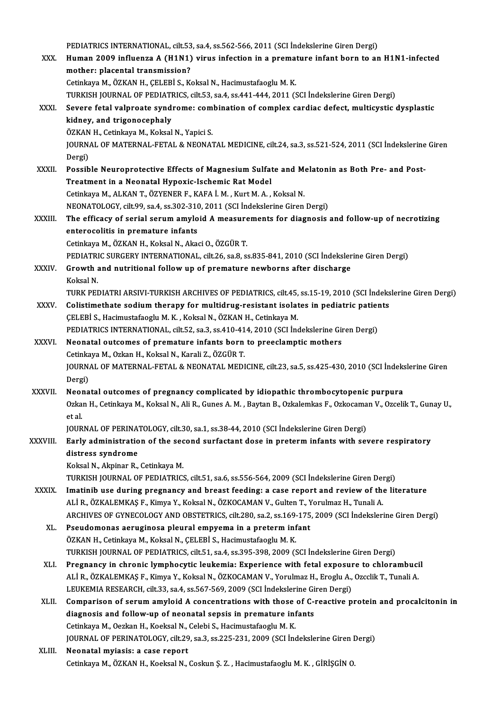|              | PEDIATRICS INTERNATIONAL, cilt.53, sa.4, ss.562-566, 2011 (SCI Indekslerine Giren Dergi)                                                                             |
|--------------|----------------------------------------------------------------------------------------------------------------------------------------------------------------------|
| XXX.         | Human 2009 influenza A (H1N1) virus infection in a premature infant born to an H1N1-infected                                                                         |
|              | mother: placental transmission?                                                                                                                                      |
|              | Cetinkaya M., ÖZKAN H., ÇELEBİ S., Koksal N., Hacimustafaoglu M. K.                                                                                                  |
|              | TURKISH JOURNAL OF PEDIATRICS, cilt.53, sa.4, ss.441-444, 2011 (SCI Indekslerine Giren Dergi)                                                                        |
| <b>XXXI</b>  | Severe fetal valproate syndrome: combination of complex cardiac defect, multicystic dysplastic                                                                       |
|              | kidney, and trigonocephaly                                                                                                                                           |
|              | ÖZKAN H., Cetinkaya M., Koksal N., Yapici S.                                                                                                                         |
|              | JOURNAL OF MATERNAL-FETAL & NEONATAL MEDICINE, cilt.24, sa.3, ss.521-524, 2011 (SCI Indekslerine Giren                                                               |
|              | Dergi)                                                                                                                                                               |
| XXXII.       | Possible Neuroprotective Effects of Magnesium Sulfate and Melatonin as Both Pre- and Post-                                                                           |
|              | Treatment in a Neonatal Hypoxic-Ischemic Rat Model<br>Cetinkaya M., ALKAN T., ÖZYENER F., KAFA İ. M., Kurt M. A., Koksal N.                                          |
|              | NEONATOLOGY, cilt99, sa.4, ss.302-310, 2011 (SCI Indekslerine Giren Dergi)                                                                                           |
| XXXIII.      | The efficacy of serial serum amyloid A measurements for diagnosis and follow-up of necrotizing                                                                       |
|              | enterocolitis in premature infants                                                                                                                                   |
|              | Cetinkaya M., ÖZKAN H., Koksal N., Akaci O., ÖZGÜR T.                                                                                                                |
|              | PEDIATRIC SURGERY INTERNATIONAL, cilt.26, sa.8, ss.835-841, 2010 (SCI Indekslerine Giren Dergi)                                                                      |
| XXXIV.       | Growth and nutritional follow up of premature newborns after discharge                                                                                               |
|              | Koksal N.                                                                                                                                                            |
|              | TURK PEDIATRI ARSIVI-TURKISH ARCHIVES OF PEDIATRICS, cilt.45, ss.15-19, 2010 (SCI İndekslerine Giren Dergi)                                                          |
| XXXV.        | Colistimethate sodium therapy for multidrug-resistant isolates in pediatric patients                                                                                 |
|              | ÇELEBİ S., Hacimustafaoglu M. K., Koksal N., ÖZKAN H., Cetinkaya M.                                                                                                  |
|              | PEDIATRICS INTERNATIONAL, cilt.52, sa.3, ss.410-414, 2010 (SCI Indekslerine Giren Dergi)                                                                             |
| <b>XXXVI</b> | Neonatal outcomes of premature infants born to preeclamptic mothers                                                                                                  |
|              | Cetinkaya M., Ozkan H., Koksal N., Karali Z., ÖZGÜR T.<br>JOURNAL OF MATERNAL-FETAL & NEONATAL MEDICINE, cilt.23, sa.5, ss.425-430, 2010 (SCI Indekslerine Giren     |
|              | Dergi)                                                                                                                                                               |
| XXXVII.      | Neonatal outcomes of pregnancy complicated by idiopathic thrombocytopenic purpura                                                                                    |
|              | Ozkan H., Cetinkaya M., Koksal N., Ali R., Gunes A. M., Baytan B., Ozkalemkas F., Ozkocaman V., Ozcelik T., Gunay U.,                                                |
|              | et al.                                                                                                                                                               |
|              | JOURNAL OF PERINATOLOGY, cilt.30, sa.1, ss.38-44, 2010 (SCI Indekslerine Giren Dergi)                                                                                |
| XXXVIII.     | Early administration of the second surfactant dose in preterm infants with severe respiratory                                                                        |
|              | distress syndrome                                                                                                                                                    |
|              | Koksal N., Akpinar R., Cetinkaya M.                                                                                                                                  |
|              | TURKISH JOURNAL OF PEDIATRICS, cilt.51, sa.6, ss.556-564, 2009 (SCI İndekslerine Giren Dergi)                                                                        |
| XXXIX.       | Imatinib use during pregnancy and breast feeding: a case report and review of the literature                                                                         |
|              | ALİ R., ÖZKALEMKAŞ F., Kimya Y., Koksal N., ÖZKOCAMAN V., Gulten T., Yorulmaz H., Tunali A.                                                                          |
|              | ARCHIVES OF GYNECOLOGY AND OBSTETRICS, cilt.280, sa.2, ss.169-175, 2009 (SCI İndekslerine Giren Dergi)                                                               |
| XL.          | Pseudomonas aeruginosa pleural empyema in a preterm infant                                                                                                           |
|              | ÖZKAN H., Cetinkaya M., Koksal N., ÇELEBİ S., Hacimustafaoglu M. K.<br>TURKISH JOURNAL OF PEDIATRICS, cilt.51, sa.4, ss.395-398, 2009 (SCI İndekslerine Giren Dergi) |
| XLI.         | Pregnancy in chronic lymphocytic leukemia: Experience with fetal exposure to chlorambucil                                                                            |
|              | ALİ R., ÖZKALEMKAŞ F., Kimya Y., Koksal N., ÖZKOCAMAN V., Yorulmaz H., Eroglu A., Ozcclik T., Tunali A.                                                              |
|              | LEUKEMIA RESEARCH, cilt.33, sa.4, ss.567-569, 2009 (SCI İndekslerine Giren Dergi)                                                                                    |
| XLII.        | Comparison of serum amyloid A concentrations with those of C-reactive protein and procalcitonin in                                                                   |
|              | diagnosis and follow-up of neonatal sepsis in premature infants                                                                                                      |
|              | Cetinkaya M., Oezkan H., Koeksal N., Celebi S., Hacimustafaoglu M. K.                                                                                                |
|              | JOURNAL OF PERINATOLOGY, cilt.29, sa.3, ss.225-231, 2009 (SCI Indekslerine Giren Dergi)                                                                              |
| XLIII.       | Neonatal myiasis: a case report                                                                                                                                      |
|              | Cetinkaya M., ÖZKAN H., Koeksal N., Coskun Ş. Z., Hacimustafaoglu M. K., GİRİŞGİN O.                                                                                 |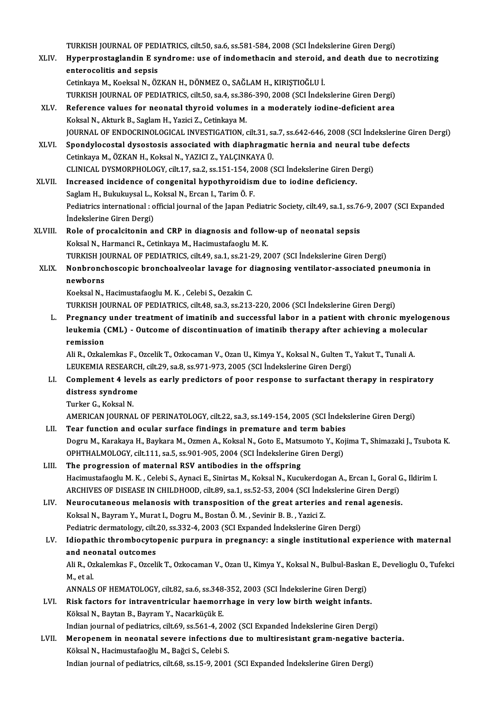TURKISH JOURNAL OF PEDIATRICS, cilt.50, sa.6, ss.581-584, 2008 (SCI İndekslerine Giren Dergi)<br>Hunernrestaslandin E sundrama: use of indemathesin and stanaid, and death due to y

- XLIV. Hyperprostaglandin E syndrome: use of indomethacin and steroid, and death due to necrotizing TURKISH JOURNAL OF PED<br>Hyperprostaglandin E sy<br>enterocolitis and sepsis<br>Cetinicum M. Kookool N. Ö3 CetinkayaM.,KoeksalN.,ÖZKANH.,DÖNMEZO.,SAĞLAMH.,KIRIŞTIOĞLUİ. enterocolitis and sepsis<br>Cetinkaya M., Koeksal N., ÖZKAN H., DÖNMEZ O., SAĞLAM H., KIRIŞTIOĞLU İ.<br>TURKISH JOURNAL OF PEDIATRICS, cilt.50, sa.4, ss.386-390, 2008 (SCI İndekslerine Giren Dergi)<br>Beference values for nasnatal
	-
- XLV. Reference values for neonatal thyroid volumes in a moderately iodine-deficient area<br>Koksal N., Akturk B., Saglam H., Yazici Z., Cetinkaya M. TURKISH JOURNAL OF PEDIATRICS, cilt.50, sa.4, ss.38<br>Reference values for neonatal thyroid volumes<br>Koksal N., Akturk B., Saglam H., Yazici Z., Cetinkaya M.<br>JOUPNAL OF ENDOCPINOLOGICAL INVESTICATION JOURNALOF ENDOCRINOLOGICAL INVESTIGATION, cilt.31, sa.7, ss.642-646,2008 (SCI İndekslerineGirenDergi) Koksal N., Akturk B., Saglam H., Yazici Z., Cetinkaya M.<br>JOURNAL OF ENDOCRINOLOGICAL INVESTIGATION, cilt.31, sa.7, ss.642-646, 2008 (SCI İndekslerine G<br>XLVI. Spondylocostal dysostosis associated with diaphragmatic hernia a
- JOURNAL OF ENDOCRINOLOGICAL INVESTIGATION, cilt.31, sa<br>Spondylocostal dysostosis associated with diaphragm<br>Cetinkaya M., ÖZKAN H., Koksal N., YAZICI Z., YALÇINKAYA Ü.<br>CLINICAL DYSMORRHOLOCY, silt.17, sa 2, ss.151,154, 2008 Spondylocostal dysostosis associated with diaphragmatic hernia and neural tub<br>Cetinkaya M., ÖZKAN H., Koksal N., YAZICI Z., YALÇINKAYA Ü.<br>CLINICAL DYSMORPHOLOGY, cilt.17, sa.2, ss.151-154, 2008 (SCI İndekslerine Giren Derg Cetinkaya M., ÖZKAN H., Koksal N., YAZICI Z., YALÇINKAYA Ü.<br>CLINICAL DYSMORPHOLOGY, cilt.17, sa.2, ss.151-154, 2008 (SCI İndekslerine Giren Dergi)<br>XLVII. Increased incidence of congenital hypothyroidism due to iodine defic
- Saglam H., Bukukuysal L., Koksal N., Ercan I., Tarim Ö. F. Increased incidence of congenital hypothyroidism due to iodine deficiency.<br>Saglam H., Bukukuysal L., Koksal N., Ercan I., Tarim Ö. F.<br>Pediatrics international : official journal of the Japan Pediatric Society, cilt.49, sa. Saglam H., Bukukuysal L., I<br>Pediatrics international : o<br>İndekslerine Giren Dergi)<br>Pele ef preselsitenin sı Pediatrics international : official journal of the Japan Pediatric Society, cilt.49, sa.1, ss.76<br>
indekslerine Giren Dergi)<br>
XLVIII. Role of procalcitonin and CRP in diagnosis and follow-up of neonatal sepsis<br>
Kelgal N. Ha
- Indekslerine Giren Dergi)<br>Role of procalcitonin and CRP in diagnosis and follow-up of neonatal sepsis<br>Koksal N., Harmanci R., Cetinkaya M., Hacimustafaoglu M. K. TURKISH JOURNAL OF PEDIATRICS, cilt.49, sa.1, ss.21-29, 2007 (SCI İndekslerine Giren Dergi) Koksal N., Harmanci R., Cetinkaya M., Hacimustafaoglu M. K.<br>TURKISH JOURNAL OF PEDIATRICS, cilt.49, sa.1, ss.21-29, 2007 (SCI İndekslerine Giren Dergi)<br>XLIX. Nonbronchoscopic bronchoalveolar lavage for diagnosing venti

# TURKISH JO<br>Nonbroncl<br>newborns<br>Kookeal N Nonbronchoscopic bronchoalveolar lavage for d<br>newborns<br>Koeksal N., Hacimustafaoglu M. K. , Celebi S., Oezakin C.<br>TURKISH JOURNAL OF REDIATRICS, silt 48, sa 3, ss 212.

newborns<br>Koeksal N., Hacimustafaoglu M. K. , Celebi S., Oezakin C.<br>TURKISH JOURNAL OF PEDIATRICS, cilt.48, sa.3, ss.213-220, 2006 (SCI İndekslerine Giren Dergi)

Koeksal N., Hacimustafaoglu M. K. , Celebi S., Oezakin C.<br>TURKISH JOURNAL OF PEDIATRICS, cilt.48, sa.3, ss.213-220, 2006 (SCI İndekslerine Giren Dergi)<br>L. Pregnancy under treatment of imatinib and successful labor in a pat TURKISH JOURNAL OF PEDIATRICS, cilt.48, sa.3, ss.213-220, 2006 (SCI İndekslerine Giren Dergi)<br>Pregnancy under treatment of imatinib and successful labor in a patient with chronic myeloge<br>leukemia (CML) - Outcome of discont Pregnancy<br>leukemia (<br>remission<br><sup>Ali P.</sup> Orkek leukemia (CML) - Outcome of discontinuation of imatinib therapy after achieving a molecular<br>remission<br>Ali R., Ozkalemkas F., Ozcelik T., Ozkocaman V., Ozan U., Kimya Y., Koksal N., Gulten T., Yakut T., Tunali A.<br>LEUKEMIA R

Ali R., Ozkalemkas F., Ozcelik T., Ozkocaman V., Ozan U., Kimya Y., Koksal N., Gulten T., Yakut T., Tunali A. Ali R., Ozkalemkas F., Ozcelik T., Ozkocaman V., Ozan U., Kimya Y., Koksal N., Gulten T., Yakut T., Tunali A.<br>LEUKEMIA RESEARCH, cilt.29, sa.8, ss.971-973, 2005 (SCI İndekslerine Giren Dergi)<br>LI. Complement 4 levels as ear

## LEUKEMIA RESEARCI<br>Complement 4 leve<br>distress syndrome<br>Turker 6 Koksel N distress syndrome<br>Turker G., Koksal N.

AMERICAN JOURNAL OF PERINATOLOGY, cilt.22, sa.3, ss.149-154, 2005 (SCI İndekslerine Giren Dergi)

- Turker G., Koksal N.<br>AMERICAN JOURNAL OF PERINATOLOGY, cilt.22, sa.3, ss.149-154, 2005 (SCI indek<br>LII. Tear function and ocular surface findings in premature and term babies<br>Degru M. Karakaya H. Baykaya M. Ozman A. Kaksal AMERICAN JOURNAL OF PERINATOLOGY, cilt.22, sa.3, ss.149-154, 2005 (SCI İndekslerine Giren Dergi)<br>Tear function and ocular surface findings in premature and term babies<br>Dogru M., Karakaya H., Baykara M., Ozmen A., Koksal N. Tear function and ocular surface findings in premature and term babies<br>Dogru M., Karakaya H., Baykara M., Ozmen A., Koksal N., Goto E., Matsumoto Y., Koj<br>OPHTHALMOLOGY, cilt.111, sa.5, ss.901-905, 2004 (SCI İndekslerine Gi Dogru M., Karakaya H., Baykara M., Ozmen A., Koksal N., Goto E., Matson<br>OPHTHALMOLOGY, cilt.111, sa.5, ss.901-905, 2004 (SCI Indekslerine (<br>LIII. The progression of maternal RSV antibodies in the offspring<br>Hagimustafaaclu
- OPHTHALMOLOGY, cilt.111, sa.5, ss.901-905, 2004 (SCI İndekslerine Giren Dergi)<br>The progression of maternal RSV antibodies in the offspring<br>Hacimustafaoglu M. K. , Celebi S., Aynaci E., Sinirtas M., Koksal N., Kucukerdogan The progression of maternal RSV antibodies in the offspring<br>Hacimustafaoglu M. K. , Celebi S., Aynaci E., Sinirtas M., Koksal N., Kucukerdogan A., Ercan I., Goral (<br>ARCHIVES OF DISEASE IN CHILDHOOD, cilt.89, sa.1, ss.52-53 Hacimustafaoglu M. K., Celebi S., Aynaci E., Sinirtas M., Koksal N., Kucukerdogan A., Ercan I., Goral G<br>ARCHIVES OF DISEASE IN CHILDHOOD, cilt.89, sa.1, ss.52-53, 2004 (SCI İndekslerine Giren Dergi)<br>LIV. Neurocutaneous mel

# ARCHIVES OF DISEASE IN CHILDHOOD, cilt.89, sa.1, ss.52-53, 2004 (SCI Inde<br>Neurocutaneous melanosis with transposition of the great arteries<br>Koksal N., Bayram Y., Murat I., Dogru M., Bostan Ö. M. , Sevinir B. B. , Yazici Z. Neurocutaneous melanosis with transposition of the great arteries and rena<br>Koksal N., Bayram Y., Murat I., Dogru M., Bostan Ö. M. , Sevinir B. B. , Yazici Z.<br>Pediatric dermatology, cilt.20, ss.332-4, 2003 (SCI Expanded İnd

## Koksal N., Bayram Y., Murat I., Dogru M., Bostan Ö. M. , Sevinir B. B. , Yazici Z.<br>Pediatric dermatology, cilt.20, ss.332-4, 2003 (SCI Expanded Indekslerine Giren Dergi)<br>LV. Idiopathic thrombocytopenic purpura in pregnancy Pediatric dermatology, cilt.<br>Idiopathic thrombocyto<br>and neonatal outcomes Idiopathic thrombocytopenic purpura in pregnancy: a single institutional experience with maternal<br>and neonatal outcomes<br>Ali R., Ozkalemkas F., Ozcelik T., Ozkocaman V., Ozan U., Kimya Y., Koksal N., Bulbul-Baskan E., Devel

and neo<br>Ali R., Oz<br>M., et al.<br>ANNALS Ali R., Ozkalemkas F., Ozcelik T., Ozkocaman V., Ozan U., Kimya Y., Koksal N., Bulbul-Baskar<br>M., et al.<br>ANNALS OF HEMATOLOGY, cilt.82, sa.6, ss.348-352, 2003 (SCI İndekslerine Giren Dergi)<br>Piek fostora for intraventricular

## M., et al.<br>ANNALS OF HEMATOLOGY, cilt.82, sa.6, ss.348-352, 2003 (SCI İndekslerine Giren Dergi)<br>LVI. Risk factors for intraventricular haemorrhage in very low birth weight infants. ANNALS OF HEMATOLOGY, cilt.82, sa.6, ss.348<br>Risk factors for intraventricular haemori<br>Köksal N., Baytan B., Bayram Y., Nacarküçük E.<br>Indian journal of podiatrice, cilt.60, cs.561, 4, 34 Risk factors for intraventricular haemorrhage in very low birth weight infants.<br>Köksal N., Baytan B., Bayram Y., Nacarküçük E.<br>Indian journal of pediatrics, cilt.69, ss.561-4, 2002 (SCI Expanded İndekslerine Giren Dergi)<br>M

Köksal N., Baytan B., Bayram Y., Nacarküçük E.<br>Indian journal of pediatrics, cilt.69, ss.561-4, 2002 (SCI Expanded Indekslerine Giren Dergi)<br>LVII. Meropenem in neonatal severe infections due to multiresistant gram-negative Indian journal of pediatrics, cilt.69, ss.561-4, 200<br>Meropenem in neonatal severe infections<br>Köksal N., Hacimustafaoğlu M., Bağci S., Celebi S.<br>Indian journal of pediatrics, cilt.69, ss.15, 9, 2001 Indian journal of pediatrics, cilt.68, ss.15-9, 2001 (SCI Expanded Indekslerine Giren Dergi)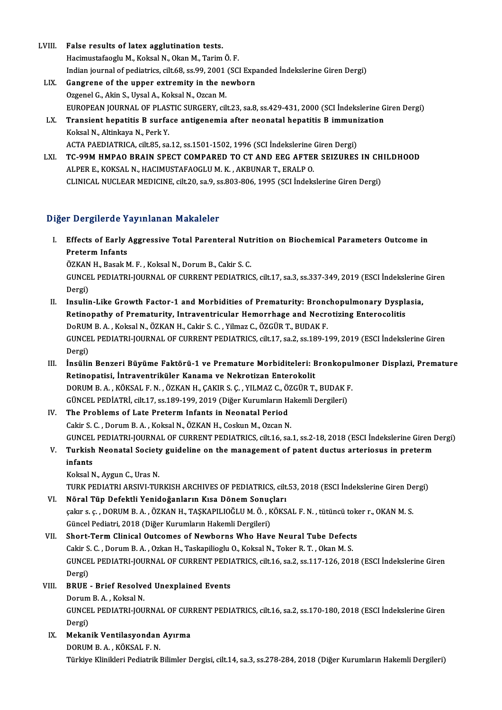- LVIII. False results of latex agglutination tests. Hacimustafaoglu M., Koksal N., Okan M., Tarim Ö. F. False results of latex agglutination tests.<br>Hacimustafaoglu M., Koksal N., Okan M., Tarim Ö. F.<br>Indian journal of pediatrics, cilt.68, ss.99, 2001 (SCI Expanded İndekslerine Giren Dergi)<br>Congrana of the unner extremity in LIX. Gangrene of the upper extremity in the newborn<br>Ozgenel G., Akin S., Uysal A., Koksal N., Ozcan M. Indian journal of pediatrics, cilt.68, ss.99, 2001<br>Gangrene of the upper extremity in the no<br>Ozgenel G., Akin S., Uysal A., Koksal N., Ozcan M.<br>FUROPEAN JOURNAL OF PLASTIC SURCERY sil Gangrene of the upper extremity in the newborn<br>Ozgenel G., Akin S., Uysal A., Koksal N., Ozcan M.<br>EUROPEAN JOURNAL OF PLASTIC SURGERY, cilt.23, sa.8, ss.429-431, 2000 (SCI İndekslerine Giren Dergi)<br>Transiant banatitis B. s
	-
	- Ozgenel G., Akin S., Uysal A., Koksal N., Ozcan M.<br>EUROPEAN JOURNAL OF PLASTIC SURGERY, cilt.23, sa.8, ss.429-431, 2000 (SCI İndekslerine G<br>LX. Transient hepatitis B surface antigenemia after neonatal hepatitis B immun EUROPEAN JOURNAL OF PLAS<br>Transient hepatitis B surfa<br>Koksal N., Altinkaya N., Perk Y.<br>ACTA BAEDIATBICA silt 85 SS LX. Transient hepatitis B surface antigenemia after neonatal hepatitis B immunization<br>Koksal N., Altinkaya N., Perk Y.

Koksal N., Altinkaya N., Perk Y.<br>ACTA PAEDIATRICA, cilt.85, sa.12, ss.1501-1502, 1996 (SCI İndekslerine Giren Dergi)<br>LXI. TC-99M HMPAO BRAIN SPECT COMPARED TO CT AND EEG AFTER SEIZURES IN CHILDHOOD<br>ALBER E KOKSAL N. ACTA PAEDIATRICA, cilt.85, sa.12, ss.1501-1502, 1996 (SCI İndekslerine Giren Dergi)<br>TC-99M HMPAO BRAIN SPECT COMPARED TO CT AND EEG AFTER SEIZURES IN CH<br>ALPER E., KOKSAL N., HACIMUSTAFAOGLUM. K. , AKBUNAR T., ERALP O.<br>CLIN TC-99M HMPAO BRAIN SPECT COMPARED TO CT AND EEG AFTER SEIZURES IN CH<br>ALPER E., KOKSAL N., HACIMUSTAFAOGLU M. K. , AKBUNAR T., ERALP O.<br>CLINICAL NUCLEAR MEDICINE, cilt.20, sa.9, ss.803-806, 1995 (SCI İndekslerine Giren Derg

### Diğer Dergilerde Yayınlanan Makaleler

Iger Dergilerde Yayınlanan Makaleler<br>I. Effects of Early Aggressive Total Parenteral Nutrition on Biochemical Parameters Outcome in<br>Rusteum Infente Preterm Infants<br>Preterm Infants<br>Ö<sup>777AN H</sup>. Beselt A Effects of Early Aggressive Total Parenteral Nut<br>Preterm Infants<br>ÖZKAN H., Basak M. F. , Koksal N., Dorum B., Cakir S. C.<br>CUNCEL PEDIATRL JOURNAL OF CURRENT PEDIATRIC

Preterm Infants<br>ÖZKAN H., Basak M. F. , Koksal N., Dorum B., Cakir S. C.<br>GUNCEL PEDIATRI-JOURNAL OF CURRENT PEDIATRICS, cilt.17, sa.3, ss.337-349, 2019 (ESCI İndekslerine Giren ÖZKAN<br>GUNCE<br>Dergi)<br>Inculir GUNCEL PEDIATRI-JOURNAL OF CURRENT PEDIATRICS, cilt.17, sa.3, ss.337-349, 2019 (ESCI İndekslerine<br>Dergi)<br>II. Insulin-Like Growth Factor-1 and Morbidities of Prematurity: Bronchopulmonary Dysplasia,<br>Petipenathy of Prematuri

- Dergi)<br>Insulin-Like Growth Factor-1 and Morbidities of Prematurity: Bronchopulmonary Dyspl:<br>Retinopathy of Prematurity, Intraventricular Hemorrhage and Necrotizing Enterocolitis<br>RePUM R.A., Koksal N. ÖZKAN H. Cakir S.C., V Retinopathy of Prematurity, Intraventricular Hemorrhage and Necrotizing Enterocolitis GUNCEL PEDIATRI-JOURNAL OF CURRENT PEDIATRICS, cilt.17, sa.2, ss.189-199, 2019 (ESCI İndekslerine Giren<br>Dergi) DoRUM B. A., Koksal N., ÖZKAN H., Cakir S. C., Yilmaz C., ÖZGÜR T., BUDAK F. GUNCEL PEDIATRI-JOURNAL OF CURRENT PEDIATRICS, cilt.17, sa.2, ss.189-199, 2019 (ESCI İndekslerine Giren<br>Dergi)<br>III. İnsülin Benzeri Büyüme Faktörü-1 ve Premature Morbiditeleri: Bronkopulmoner Displazi, Premature<br>Petinopoti
- Dergi)<br>İnsülin Benzeri Büyüme Faktörü-1 ve Premature Morbiditeleri: E<br>Retinopatisi, İntraventriküler Kanama ve Nekrotizan Enterokolit<br>DOPUM B.A., KÖKSAL E.N., ÖZKAN H. GAKIR S.G., VU MAZ G. ÖZGÜR T. İnsülin Benzeri Büyüme Faktörü-1 ve Premature Morbiditeleri: Bronkopul<br>Retinopatisi, İntraventriküler Kanama ve Nekrotizan Enterokolit<br>DORUM B. A. , KÖKSAL F. N. , ÖZKAN H., ÇAKIR S. Ç. , YILMAZ C., ÖZGÜR T., BUDAK F.<br>CÜNC Retinopatisi, İntraventriküler Kanama ve Nekrotizan Enterokolit<br>DORUM B. A. , KÖKSAL F. N. , ÖZKAN H., ÇAKIR S. Ç. , YILMAZ C., ÖZGÜR T., BUDAK F<br>GÜNCEL PEDİATRİ, cilt.17, ss.189-199, 2019 (Diğer Kurumların Hakemli Dergile DORUM B. A., KÖKSAL F. N., ÖZKAN H., ÇAKIR S. Ç., YILMAZ C., ÖZ<br>GÜNCEL PEDİATRİ, cilt.17, ss.189-199, 2019 (Diğer Kurumların H.<br>IV. The Problems of Late Preterm Infants in Neonatal Period<br>Colin S. G. Dorum B. A., Koksal N.
- GÜNCEL PEDİATRİ, cilt.17, ss.189-199, 2019 (Diğer Kurumların Hamid Period<br>The Problems of Late Preterm Infants in Neonatal Period<br>Cakir S. C. , Dorum B. A. , Koksal N., ÖZKAN H., Coskun M., Ozcan N.<br>CUNCEL PEDIATRI JOURNAL The Problems of Late Preterm Infants in Neonatal Period<br>Cakir S. C. , Dorum B. A. , Koksal N., ÖZKAN H., Coskun M., Ozcan N.<br>GUNCEL PEDIATRI-JOURNAL OF CURRENT PEDIATRICS, cilt.16, sa.1, ss.2-18, 2018 (ESCI İndekslerine Gi Cakir S. C. , Dorum B. A. , Koksal N., ÖZKAN H., Coskun M., Ozcan N.<br>GUNCEL PEDIATRI-JOURNAL OF CURRENT PEDIATRICS, cilt16, sa.1, ss.2-18, 2018 (ESCI İndekslerine Giren I<br>V. Turkish Neonatal Society guideline on the ma
- GUNCEL<br>Turkish<br>infants<br>Kekeal M V. Turkish Neonatal Society guideline on the management of patent ductus arteriosus in preterm<br>infants<br>Koksal N., Aygun C., Uras N.

TURK PEDIATRI ARSIVI-TURKISH ARCHIVES OF PEDIATRICS, cilt.53, 2018 (ESCI İndekslerine Giren Dergi)

VI. Nöral Tüp Defektli Yenidoğanların Kısa Dönem Sonuçları TURK PEDIATRI ARSIVI-TURKISH ARCHIVES OF PEDIATRICS, cilt.53, 2018 (ESCI İndekslerine Giren De<br>Nöral Tüp Defektli Yenidoğanların Kısa Dönem Sonuçları<br>çakır s. ç. , DORUM B. A. , ÖZKAN H., TAŞKAPILIOĞLU M. Ö. , KÖKSAL F. N. Nöral Tüp Defektli Yenidoğanların Kısa Dönem Sonuç<br>çakır s. ç. , DORUM B. A. , ÖZKAN H., TAŞKAPILIOĞLU M. Ö. , K<br>Güncel Pediatri, 2018 (Diğer Kurumların Hakemli Dergileri)<br>Shert Term Clinisal Qutsemes ef Newberns Whe Hey çakır s. ç. , DORUM B. A. , ÖZKAN H., TAŞKAPILIOĞLU M. Ö. , KÖKSAL F. N. , tütüncü tok<br>Güncel Pediatri, 2018 (Diğer Kurumların Hakemli Dergileri)<br>VII. Short-Term Clinical Outcomes of Newborns Who Have Neural Tube Defects<br>C

Güncel Pediatri, 2018 (Diğer Kurumların Hakemli Dergileri)<br>Short-Term Clinical Outcomes of Newborns Who Have Neural Tube Defect:<br>Cakir S. C. , Dorum B. A. , Ozkan H., Taskapilioglu O., Koksal N., Toker R. T. , Okan M. S.<br>C VII. Short-Term Clinical Outcomes of Newborns Who Have Neural Tube Defects<br>Cakir S. C., Dorum B. A., Ozkan H., Taskapilioglu O., Koksal N., Toker R. T., Okan M. S.<br>GUNCEL PEDIATRI-JOURNAL OF CURRENT PEDIATRICS, cilt.16, sa Cakir S<br>GUNCE<br>Dergi)<br>PRIIE GUNCEL PEDIATRI-JOURNAL OF CURRENT PEDL<br>Dergi)<br>VIII. BRUE - Brief Resolved Unexplained Events

- Dergi)<br><mark>BRUE Brief Resolve</mark><br>Dorum B.A., Koksal N.<br>CUNCEL PEDIATPLIOU BRUE - Brief Resolved Unexplained Events<br>Dorum B. A. , Koksal N.<br>GUNCEL PEDIATRI-JOURNAL OF CURRENT PEDIATRICS, cilt.16, sa.2, ss.170-180, 2018 (ESCI İndekslerine Giren<br>Dorgi) Dorum<br>GUNCE<br>Dergi)<br>Mekan GUNCEL PEDIATRI-JOURNAL OF CUR<br>Dergi)<br>IX. Mekanik Ventilasyondan Ayırma<br>DOPUM B.A. KÖKSALE N
- Dergi)<br><mark>Mekanik Ventilasyondan</mark><br>DORUM B. A. , KÖKSAL F. N.<br>Türkiye Klinilderi Bedistrik I DORUM B. A. , KÖKSAL F. N.<br>Türkiye Klinikleri Pediatrik Bilimler Dergisi, cilt.14, sa.3, ss.278-284, 2018 (Diğer Kurumların Hakemli Dergileri)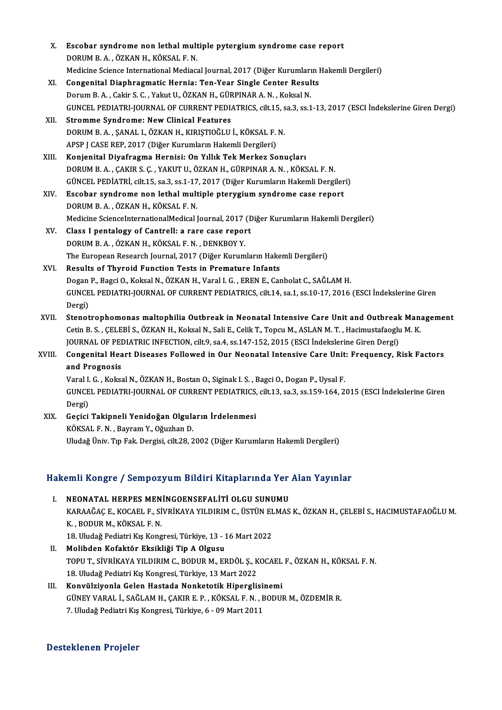| Χ.     | Escobar syndrome non lethal multiple pytergium syndrome case report                                          |
|--------|--------------------------------------------------------------------------------------------------------------|
|        | DORUM B. A., ÖZKAN H., KÖKSAL F. N.                                                                          |
|        | Medicine Science International Mediacal Journal, 2017 (Diğer Kurumların Hakemli Dergileri)                   |
| XI.    | Congenital Diaphragmatic Hernia: Ten-Year Single Center Results                                              |
|        | Dorum B. A., Cakir S. C., Yakut U., ÖZKAN H., GÜRPINAR A. N., Koksal N.                                      |
|        | GUNCEL PEDIATRI-JOURNAL OF CURRENT PEDIATRICS, cilt.15, sa.3, ss.1-13, 2017 (ESCI İndekslerine Giren Dergi)  |
| XII.   | <b>Stromme Syndrome: New Clinical Features</b>                                                               |
|        | DORUM B. A., ŞANAL I., ÖZKAN H., KIRIŞTIOĞLU İ., KÖKSAL F. N.                                                |
|        | APSP J CASE REP, 2017 (Diğer Kurumların Hakemli Dergileri)                                                   |
| XIII.  | Konjenital Diyafragma Hernisi: On Yıllık Tek Merkez Sonuçları                                                |
|        | DORUM B. A., ÇAKIR S. Ç., YAKUT U., ÖZKAN H., GÜRPINAR A. N., KÖKSAL F. N.                                   |
|        | GÜNCEL PEDİATRİ, cilt.15, sa.3, ss.1-17, 2017 (Diğer Kurumların Hakemli Dergileri)                           |
| XIV.   | Escobar syndrome non lethal multiple pterygium syndrome case report                                          |
|        | DORUM B.A., ÖZKAN H., KÖKSAL F.N.                                                                            |
|        | Medicine ScienceInternationalMedical Journal, 2017 (Diğer Kurumların Hakemli Dergileri)                      |
| XV.    | Class I pentalogy of Cantrell: a rare case report                                                            |
|        | DORUM B. A., ÖZKAN H., KÖKSAL F. N., DENKBOY Y.                                                              |
|        | The European Research Journal, 2017 (Diğer Kurumların Hakemli Dergileri)                                     |
| XVI.   | Results of Thyroid Function Tests in Premature Infants                                                       |
|        | Dogan P., Bagci O., Koksal N., ÖZKAN H., Varal I. G., EREN E., Canbolat C., SAĞLAM H.                        |
|        | GUNCEL PEDIATRI-JOURNAL OF CURRENT PEDIATRICS, cilt.14, sa.1, ss.10-17, 2016 (ESCI Indekslerine Giren        |
|        | Dergi)                                                                                                       |
| XVII.  | Stenotrophomonas maltophilia Outbreak in Neonatal Intensive Care Unit and Outbreak Management                |
|        | Cetin B. S., ÇELEBİ S., ÖZKAN H., Koksal N., Sali E., Celik T., Topcu M., ASLAN M. T., Hacimustafaoglu M. K. |
|        | JOURNAL OF PEDIATRIC INFECTION, cilt.9, sa.4, ss.147-152, 2015 (ESCI Indekslerine Giren Dergi)               |
| XVIII. | Congenital Heart Diseases Followed in Our Neonatal Intensive Care Unit: Frequency, Risk Factors              |
|        | and Prognosis                                                                                                |
|        | Varal I. G., Koksal N., ÖZKAN H., Bostan O., Siginak I. S., Bagci O., Dogan P., Uysal F.                     |
|        | GUNCEL PEDIATRI-JOURNAL OF CURRENT PEDIATRICS, cilt.13, sa.3, ss.159-164, 2015 (ESCI İndekslerine Giren      |
|        | Dergi)                                                                                                       |
| XIX.   | Geçici Takipneli Yenidoğan Olguların İrdelenmesi                                                             |
|        | KÖKSAL F. N., Bayram Y., Oğuzhan D.                                                                          |
|        | Uludağ Üniv. Tıp Fak. Dergisi, cilt.28, 2002 (Diğer Kurumların Hakemli Dergileri)                            |

# oludag oniv. Tip rak. Dergisi, citt.28, 2002 (Diger Kurumların Hakemli Dergileri)<br>Hakemli Kongre / Sempozyum Bildiri Kitaplarında Yer Alan Yayınlar

- akemli Kongre / Sempozyum Bildiri Kitaplarında Yer<br>I. NEONATAL HERPES MENINGOENSEFALİTİ OLGU SUNUMU<br>KARAAĞACE, KOCAFLE SİVRİKAYA YU DIRIM C ÜSTÜN FLMAS XARA ROLIŞLO") OSMIYOLIY'NIN DIRIRI TRUSPUTTIYLI TOP TIRM TUJTIRIM.<br>NEONATAL HERPES MENİNGOENSEFALİTİ OLGU SUNUMU<br>KARAAĞAÇ E., KOCAEL F., SİVRİKAYA YILDIRIM C., ÜSTÜN ELMAS K., ÖZKAN H., ÇELEBİ S., HACIMUSTAFAOĞLU M. <mark>NEONATAL HERPES MEN</mark><br>KARAAĞAÇ E., KOCAEL F., Sİ<br>K. , BODUR M., KÖKSAL F. N.<br>19. Uludağ Bodiatri Kıs Kong KARAAĞAÇ E., KOCAEL F., SİVRİKAYA YILDIRIM C., ÜSTÜN EL<br>K. , BODUR M., KÖKSAL F. N.<br>18. Uludağ Pediatri Kış Kongresi, Türkiye, 13 - 16 Mart 2022<br>Malihdan Kafaktör Eksikliği Tin A Olsusu K., BODUR M., KÖKSAL F. N.<br>18. Uludağ Pediatri Kış Kongresi, Türkiye, 13 - 16 Mart 2022<br>II. Molibden Kofaktör Eksikliği Tip A Olgusu
- 18. Uludağ Pediatri Kış Kongresi, Türkiye, 13 16 Mart 2022<br><mark>Molibden Kofaktör Eksikliği Tip A Olgusu</mark><br>TOPU T., SİVRİKAYA YILDIRIM C., BODUR M., ERDÖL Ş., KOCAEL F., ÖZKAN H., KÖKSAL F. N.<br>18. Uludağ Pediatri Kış Kongresi Molibden Kofaktör Eksikliği Tip A Olgusu<br>TOPU T., SİVRİKAYA YILDIRIM C., BODUR M., ERDÖL Ş., K<br>18. Uludağ Pediatri Kış Kongresi, Türkiye, 13 Mart 2022<br>Konyülsiyenle Celen Hastada Nanketatik Hinersli TOPU T., SİVRİKAYA YILDIRIM C., BODUR M., ERDÖL Ş., KOCAEL<br>18. Uludağ Pediatri Kış Kongresi, Türkiye, 13 Mart 2022<br>III. Konvülziyonla Gelen Hastada Nonketotik Hiperglisinemi<br>CÜNEV VARAL İ. SAĞLAM H. GAKIR E. B. KÖKSAL E.N.
- 18. Uludağ Pediatri Kış Kongresi, Türkiye, 13 Mart 2022<br>Konvülziyonla Gelen Hastada Nonketotik Hiperglisinemi<br>GÜNEY VARAL İ., SAĞLAM H., ÇAKIR E. P. , KÖKSAL F. N. , BODUR M., ÖZDEMİR R.<br>7. Uludağ Pediatri Kış Kongresi, Tü Konvülziyonla Gelen Hastada Nonketotik Hiperglisiı<br>GÜNEY VARAL İ., SAĞLAM H., ÇAKIR E. P. , KÖKSAL F. N. , B<br>7. Uludağ Pediatri Kış Kongresi, Türkiye, 6 - 09 Mart 2011

### Desteklenen Projeler